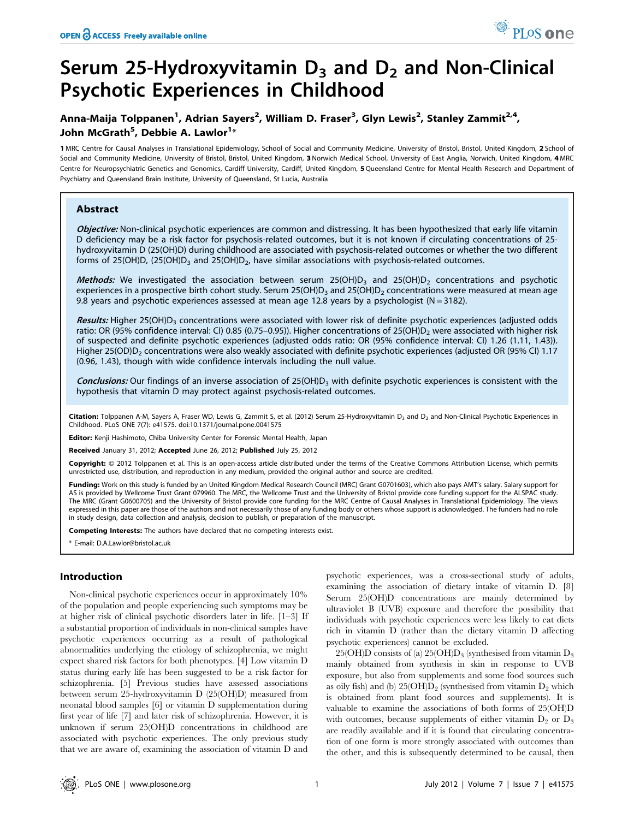# Serum 25-Hydroxyvitamin  $D_3$  and  $D_2$  and Non-Clinical Psychotic Experiences in Childhood

## Anna-Maija Tolppanen<sup>1</sup>, Adrian Sayers<sup>2</sup>, William D. Fraser<sup>3</sup>, Glyn Lewis<sup>2</sup>, Stanley Zammit<sup>2,4</sup>, John McGrath<sup>5</sup>, Debbie A. Lawlor<sup>1</sup>\*

1 MRC Centre for Causal Analyses in Translational Epidemiology, School of Social and Community Medicine, University of Bristol, Bristol, United Kingdom, 2 School of Social and Community Medicine, University of Bristol, Bristol, United Kingdom, 3 Norwich Medical School, University of East Anglia, Norwich, United Kingdom, 4 MRC Centre for Neuropsychiatric Genetics and Genomics, Cardiff University, Cardiff, United Kingdom, 5 Queensland Centre for Mental Health Research and Department of Psychiatry and Queensland Brain Institute, University of Queensland, St Lucia, Australia

## Abstract

Objective: Non-clinical psychotic experiences are common and distressing. It has been hypothesized that early life vitamin D deficiency may be a risk factor for psychosis-related outcomes, but it is not known if circulating concentrations of 25 hydroxyvitamin D (25(OH)D) during childhood are associated with psychosis-related outcomes or whether the two different forms of 25(OH)D, (25(OH)D<sub>3</sub> and 25(OH)D<sub>2</sub>, have similar associations with psychosis-related outcomes.

Methods: We investigated the association between serum 25(OH)D<sub>3</sub> and 25(OH)D<sub>2</sub> concentrations and psychotic experiences in a prospective birth cohort study. Serum 25(OH)D<sub>3</sub> and 25(OH)D<sub>2</sub> concentrations were measured at mean age 9.8 years and psychotic experiences assessed at mean age 12.8 years by a psychologist ( $N = 3182$ ).

Results: Higher 25(OH)D<sub>3</sub> concentrations were associated with lower risk of definite psychotic experiences (adjusted odds ratio: OR (95% confidence interval: CI) 0.85 (0.75–0.95)). Higher concentrations of 25(OH)D<sub>2</sub> were associated with higher risk of suspected and definite psychotic experiences (adjusted odds ratio: OR (95% confidence interval: CI) 1.26 (1.11, 1.43)). Higher 25(OD)D<sub>2</sub> concentrations were also weakly associated with definite psychotic experiences (adjusted OR (95% CI) 1.17 (0.96, 1.43), though with wide confidence intervals including the null value.

**Conclusions:** Our findings of an inverse association of  $25(OH)D<sub>3</sub>$  with definite psychotic experiences is consistent with the hypothesis that vitamin D may protect against psychosis-related outcomes.

Citation: Tolppanen A-M, Sayers A, Fraser WD, Lewis G, Zammit S, et al. (2012) Serum 25-Hydroxyvitamin D<sub>3</sub> and D<sub>2</sub> and Non-Clinical Psychotic Experiences in Childhood. PLoS ONE 7(7): e41575. doi:10.1371/journal.pone.0041575

Editor: Kenji Hashimoto, Chiba University Center for Forensic Mental Health, Japan

Received January 31, 2012; Accepted June 26, 2012; Published July 25, 2012

Copyright: © 2012 Tolppanen et al. This is an open-access article distributed under the terms of the Creative Commons Attribution License, which permits unrestricted use, distribution, and reproduction in any medium, provided the original author and source are credited.

Funding: Work on this study is funded by an United Kingdom Medical Research Council (MRC) Grant G0701603), which also pays AMT's salary. Salary support for AS is provided by Wellcome Trust Grant 079960. The MRC, the Wellcome Trust and the University of Bristol provide core funding support for the ALSPAC study. The MRC (Grant G0600705) and the University of Bristol provide core funding for the MRC Centre of Causal Analyses in Translational Epidemiology. The views expressed in this paper are those of the authors and not necessarily those of any funding body or others whose support is acknowledged. The funders had no role in study design, data collection and analysis, decision to publish, or preparation of the manuscript.

**Competing Interests:** The authors have declared that no competing interests exist.

\* E-mail: D.A.Lawlor@bristol.ac.uk

## Introduction

Non-clinical psychotic experiences occur in approximately 10% of the population and people experiencing such symptoms may be at higher risk of clinical psychotic disorders later in life. [1–3] If a substantial proportion of individuals in non-clinical samples have psychotic experiences occurring as a result of pathological abnormalities underlying the etiology of schizophrenia, we might expect shared risk factors for both phenotypes. [4] Low vitamin D status during early life has been suggested to be a risk factor for schizophrenia. [5] Previous studies have assessed associations between serum 25-hydroxyvitamin D (25(OH)D) measured from neonatal blood samples [6] or vitamin D supplementation during first year of life [7] and later risk of schizophrenia. However, it is unknown if serum 25(OH)D concentrations in childhood are associated with psychotic experiences. The only previous study that we are aware of, examining the association of vitamin D and

psychotic experiences, was a cross-sectional study of adults, examining the association of dietary intake of vitamin D. [8] Serum 25(OH)D concentrations are mainly determined by ultraviolet B (UVB) exposure and therefore the possibility that individuals with psychotic experiences were less likely to eat diets rich in vitamin D (rather than the dietary vitamin D affecting psychotic experiences) cannot be excluded.

25(OH)D consists of (a) 25(OH)D<sub>3</sub> (synthesised from vitamin  $D_3$ mainly obtained from synthesis in skin in response to UVB exposure, but also from supplements and some food sources such as oily fish) and (b)  $25(OH)D_2$  (synthesised from vitamin  $D_2$  which is obtained from plant food sources and supplements). It is valuable to examine the associations of both forms of 25(OH)D with outcomes, because supplements of either vitamin  $D_2$  or  $D_3$ are readily available and if it is found that circulating concentration of one form is more strongly associated with outcomes than the other, and this is subsequently determined to be causal, then

PLoS one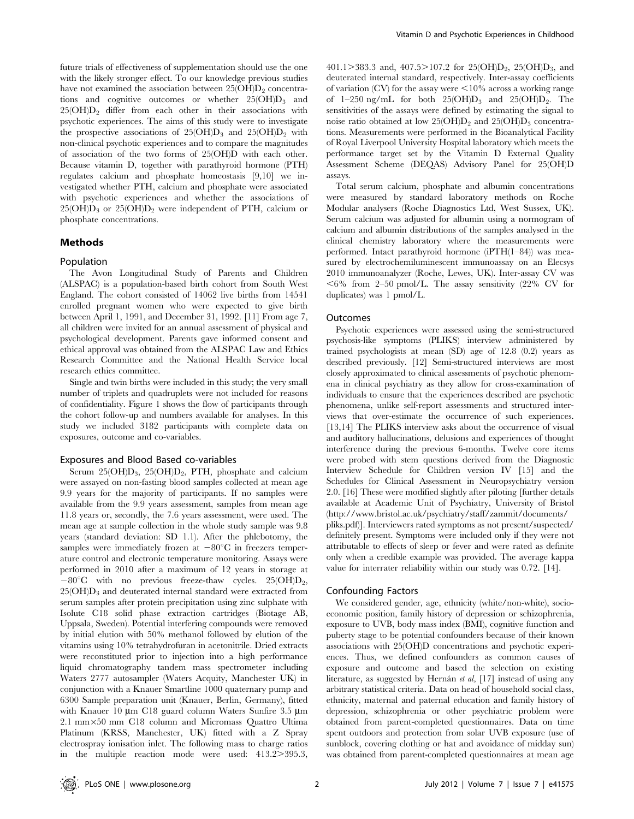future trials of effectiveness of supplementation should use the one with the likely stronger effect. To our knowledge previous studies have not examined the association between  $25(OH)D<sub>2</sub>$  concentrations and cognitive outcomes or whether  $25(OH)D_3$  and  $25(OH)D<sub>2</sub>$  differ from each other in their associations with psychotic experiences. The aims of this study were to investigate the prospective associations of  $25(OH)D_3$  and  $25(OH)D_2$  with non-clinical psychotic experiences and to compare the magnitudes of association of the two forms of 25(OH)D with each other. Because vitamin D, together with parathyroid hormone (PTH) regulates calcium and phosphate homeostasis [9,10] we investigated whether PTH, calcium and phosphate were associated with psychotic experiences and whether the associations of  $25(OH)D_3$  or  $25(OH)D_2$  were independent of PTH, calcium or phosphate concentrations.

## Methods

## Population

The Avon Longitudinal Study of Parents and Children (ALSPAC) is a population-based birth cohort from South West England. The cohort consisted of 14062 live births from 14541 enrolled pregnant women who were expected to give birth between April 1, 1991, and December 31, 1992. [11] From age 7, all children were invited for an annual assessment of physical and psychological development. Parents gave informed consent and ethical approval was obtained from the ALSPAC Law and Ethics Research Committee and the National Health Service local research ethics committee.

Single and twin births were included in this study; the very small number of triplets and quadruplets were not included for reasons of confidentiality. Figure 1 shows the flow of participants through the cohort follow-up and numbers available for analyses. In this study we included 3182 participants with complete data on exposures, outcome and co-variables.

#### Exposures and Blood Based co-variables

Serum  $25(OH)D_3$ ,  $25(OH)D_2$ , PTH, phosphate and calcium were assayed on non-fasting blood samples collected at mean age 9.9 years for the majority of participants. If no samples were available from the 9.9 years assessment, samples from mean age 11.8 years or, secondly, the 7.6 years assessment, were used. The mean age at sample collection in the whole study sample was 9.8 years (standard deviation: SD 1.1). After the phlebotomy, the samples were immediately frozen at  $-80^{\circ}\text{C}$  in freezers temperature control and electronic temperature monitoring. Assays were performed in 2010 after a maximum of 12 years in storage at  $-80^{\circ}$ C with no previous freeze-thaw cycles. 25(OH)D<sub>2</sub>,  $25(OH)D<sub>3</sub>$  and deuterated internal standard were extracted from serum samples after protein precipitation using zinc sulphate with Isolute C18 solid phase extraction cartridges (Biotage AB, Uppsala, Sweden). Potential interfering compounds were removed by initial elution with 50% methanol followed by elution of the vitamins using 10% tetrahydrofuran in acetonitrile. Dried extracts were reconstituted prior to injection into a high performance liquid chromatography tandem mass spectrometer including Waters 2777 autosampler (Waters Acquity, Manchester UK) in conjunction with a Knauer Smartline 1000 quaternary pump and 6300 Sample preparation unit (Knauer, Berlin, Germany), fitted with Knauer 10  $\mu$ m C18 guard column Waters Sunfire 3.5  $\mu$ m 2.1 mm*6*50 mm C18 column and Micromass Quattro Ultima Platinum (KRSS, Manchester, UK) fitted with a Z Spray electrospray ionisation inlet. The following mass to charge ratios in the multiple reaction mode were used:  $413.2 > 395.3$ , 401.1>383.3 and, 407.5>107.2 for 25(OH)D<sub>2</sub>, 25(OH)D<sub>3</sub>, and deuterated internal standard, respectively. Inter-assay coefficients of variation (CV) for the assay were  $\leq 10\%$  across a working range of  $1-250$  ng/mL for both  $25(OH)D_3$  and  $25(OH)D_2$ . The sensitivities of the assays were defined by estimating the signal to noise ratio obtained at low  $25(OH)D_2$  and  $25(OH)D_3$  concentrations. Measurements were performed in the Bioanalytical Facility of Royal Liverpool University Hospital laboratory which meets the performance target set by the Vitamin D External Quality Assessment Scheme (DEQAS) Advisory Panel for 25(OH)D assays.

Total serum calcium, phosphate and albumin concentrations were measured by standard laboratory methods on Roche Modular analysers (Roche Diagnostics Ltd, West Sussex, UK). Serum calcium was adjusted for albumin using a normogram of calcium and albumin distributions of the samples analysed in the clinical chemistry laboratory where the measurements were performed. Intact parathyroid hormone (iPTH(1–84)) was measured by electrochemiluminescent immunoassay on an Elecsys 2010 immunoanalyzer (Roche, Lewes, UK). Inter-assay CV was  $<$  6% from 2–50 pmol/L. The assay sensitivity (22% CV for duplicates) was 1 pmol/L.

#### **Outcomes**

Psychotic experiences were assessed using the semi-structured psychosis-like symptoms (PLIKS) interview administered by trained psychologists at mean (SD) age of 12.8 (0.2) years as described previously. [12] Semi-structured interviews are most closely approximated to clinical assessments of psychotic phenomena in clinical psychiatry as they allow for cross-examination of individuals to ensure that the experiences described are psychotic phenomena, unlike self-report assessments and structured interviews that over-estimate the occurrence of such experiences. [13,14] The PLIKS interview asks about the occurrence of visual and auditory hallucinations, delusions and experiences of thought interference during the previous 6-months. Twelve core items were probed with stem questions derived from the Diagnostic Interview Schedule for Children version IV [15] and the Schedules for Clinical Assessment in Neuropsychiatry version 2.0. [16] These were modified slightly after piloting [further details available at Academic Unit of Psychiatry, University of Bristol (http://www.bristol.ac.uk/psychiatry/staff/zammit/documents/ pliks.pdf)]. Interviewers rated symptoms as not present/suspected/ definitely present. Symptoms were included only if they were not attributable to effects of sleep or fever and were rated as definite only when a credible example was provided. The average kappa value for interrater reliability within our study was 0.72. [14].

#### Confounding Factors

We considered gender, age, ethnicity (white/non-white), socioeconomic position, family history of depression or schizophrenia, exposure to UVB, body mass index (BMI), cognitive function and puberty stage to be potential confounders because of their known associations with 25(OH)D concentrations and psychotic experiences. Thus, we defined confounders as common causes of exposure and outcome and based the selection on existing literature, as suggested by Hernán et al,  $[17]$  instead of using any arbitrary statistical criteria. Data on head of household social class, ethnicity, maternal and paternal education and family history of depression, schizophrenia or other psychiatric problem were obtained from parent-completed questionnaires. Data on time spent outdoors and protection from solar UVB exposure (use of sunblock, covering clothing or hat and avoidance of midday sun) was obtained from parent-completed questionnaires at mean age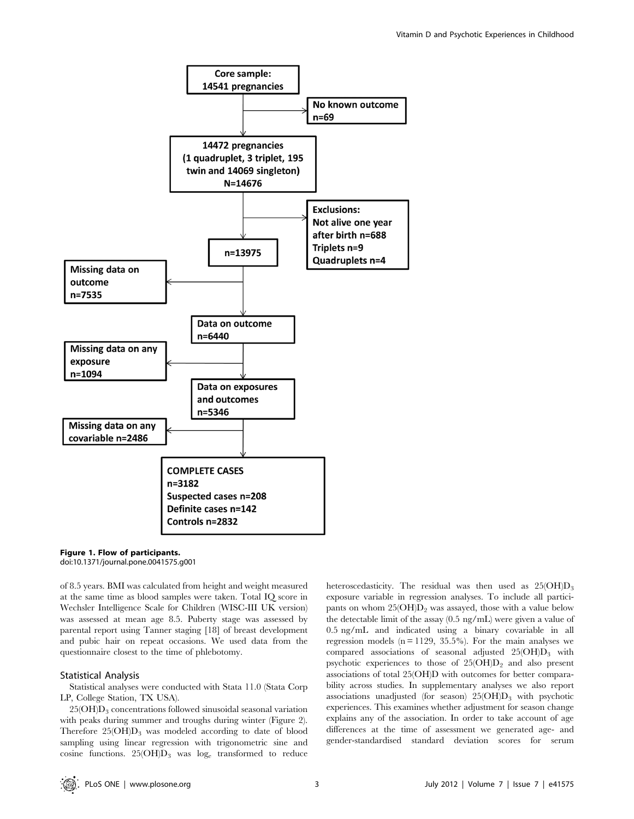

#### Figure 1. Flow of participants. doi:10.1371/journal.pone.0041575.g001

of 8.5 years. BMI was calculated from height and weight measured at the same time as blood samples were taken. Total IQ score in Wechsler Intelligence Scale for Children (WISC-III UK version) was assessed at mean age 8.5. Puberty stage was assessed by parental report using Tanner staging [18] of breast development and pubic hair on repeat occasions. We used data from the questionnaire closest to the time of phlebotomy.

## Statistical Analysis

Statistical analyses were conducted with Stata 11.0 (Stata Corp LP, College Station, TX USA).

 $25(OH)D<sub>3</sub>$  concentrations followed sinusoidal seasonal variation with peaks during summer and troughs during winter (Figure 2). Therefore  $25(OH)D_3$  was modeled according to date of blood sampling using linear regression with trigonometric sine and cosine functions.  $25(OH)D_3$  was log<sub>e</sub> transformed to reduce heteroscedasticity. The residual was then used as  $25(OH)D<sub>3</sub>$ exposure variable in regression analyses. To include all participants on whom  $25(OH)D<sub>2</sub>$  was assayed, those with a value below the detectable limit of the assay (0.5 ng/mL) were given a value of 0.5 ng/mL and indicated using a binary covariable in all regression models  $(n = 1129, 35.5\%)$ . For the main analyses we compared associations of seasonal adjusted  $25(OH)D_3$  with psychotic experiences to those of  $25(OH)D<sub>2</sub>$  and also present associations of total 25(OH)D with outcomes for better comparability across studies. In supplementary analyses we also report associations unadjusted (for season)  $25(OH)D_3$  with psychotic experiences. This examines whether adjustment for season change explains any of the association. In order to take account of age differences at the time of assessment we generated age- and gender-standardised standard deviation scores for serum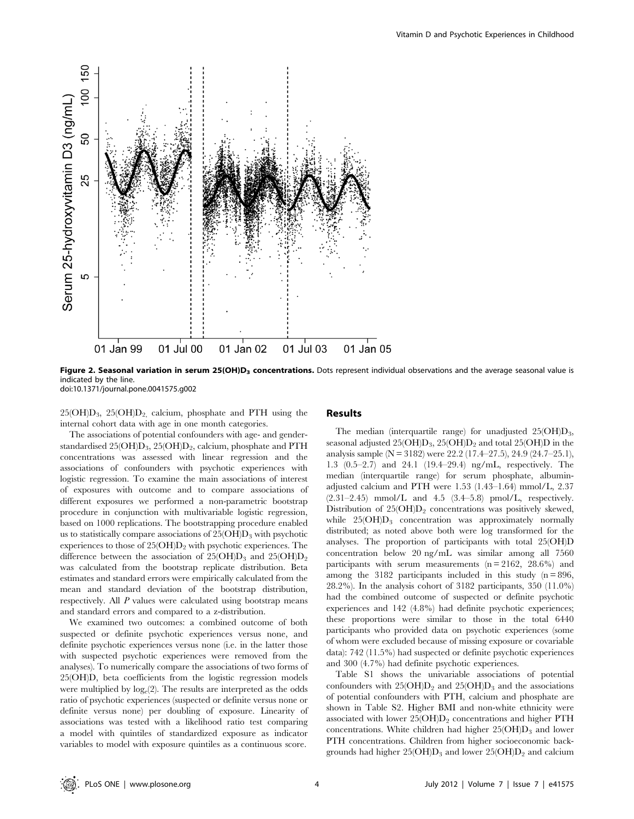

Figure 2. Seasonal variation in serum 25(OH)D<sub>3</sub> concentrations. Dots represent individual observations and the average seasonal value is indicated by the line. doi:10.1371/journal.pone.0041575.g002

 $25(OH)D_3$ ,  $25(OH)D_2$ , calcium, phosphate and PTH using the internal cohort data with age in one month categories.

The associations of potential confounders with age- and genderstandardised 25(OH)D<sub>3</sub>, 25(OH)D<sub>2</sub>, calcium, phosphate and PTH concentrations was assessed with linear regression and the associations of confounders with psychotic experiences with logistic regression. To examine the main associations of interest of exposures with outcome and to compare associations of different exposures we performed a non-parametric bootstrap procedure in conjunction with multivariable logistic regression, based on 1000 replications. The bootstrapping procedure enabled us to statistically compare associations of  $25(OH)D<sub>3</sub>$  with psychotic experiences to those of  $25(OH)D<sub>2</sub>$  with psychotic experiences. The difference between the association of  $25(OH)D_3$  and  $25(OH)D_2$ was calculated from the bootstrap replicate distribution. Beta estimates and standard errors were empirically calculated from the mean and standard deviation of the bootstrap distribution, respectively. All P values were calculated using bootstrap means and standard errors and compared to a z-distribution.

We examined two outcomes: a combined outcome of both suspected or definite psychotic experiences versus none, and definite psychotic experiences versus none (i.e. in the latter those with suspected psychotic experiences were removed from the analyses). To numerically compare the associations of two forms of 25(OH)D, beta coefficients from the logistic regression models were multiplied by  $log_e(2)$ . The results are interpreted as the odds ratio of psychotic experiences (suspected or definite versus none or definite versus none) per doubling of exposure. Linearity of associations was tested with a likelihood ratio test comparing a model with quintiles of standardized exposure as indicator variables to model with exposure quintiles as a continuous score.

## Results

The median (interquartile range) for unadjusted  $25(OH)D<sub>3</sub>$ , seasonal adjusted  $25(OH)D_3$ ,  $25(OH)D_2$  and total  $25(OH)D$  in the analysis sample ( $N = 3182$ ) were 22.2 (17.4–27.5), 24.9 (24.7–25.1), 1.3 (0.5–2.7) and 24.1 (19.4–29.4) ng/mL, respectively. The median (interquartile range) for serum phosphate, albuminadjusted calcium and PTH were 1.53 (1.43–1.64) mmol/L, 2.37  $(2.31-2.45)$  mmol/L and 4.5  $(3.4-5.8)$  pmol/L, respectively. Distribution of  $25(OH)D_2$  concentrations was positively skewed, while  $25(OH)D_3$  concentration was approximately normally distributed; as noted above both were log transformed for the analyses. The proportion of participants with total 25(OH)D concentration below 20 ng/mL was similar among all 7560 participants with serum measurements  $(n = 2162, 28.6%)$  and among the 3182 participants included in this study  $(n = 896,$ 28.2%). In the analysis cohort of 3182 participants, 350 (11.0%) had the combined outcome of suspected or definite psychotic experiences and 142 (4.8%) had definite psychotic experiences; these proportions were similar to those in the total 6440 participants who provided data on psychotic experiences (some of whom were excluded because of missing exposure or covariable data): 742 (11.5%) had suspected or definite psychotic experiences and 300 (4.7%) had definite psychotic experiences.

Table S1 shows the univariable associations of potential confounders with  $25(OH)D_2$  and  $25(OH)D_3$  and the associations of potential confounders with PTH, calcium and phosphate are shown in Table S2. Higher BMI and non-white ethnicity were associated with lower  $25(OH)D_2$  concentrations and higher PTH concentrations. White children had higher  $25(OH)D<sub>3</sub>$  and lower PTH concentrations. Children from higher socioeconomic backgrounds had higher  $25(OH)D_3$  and lower  $25(OH)D_2$  and calcium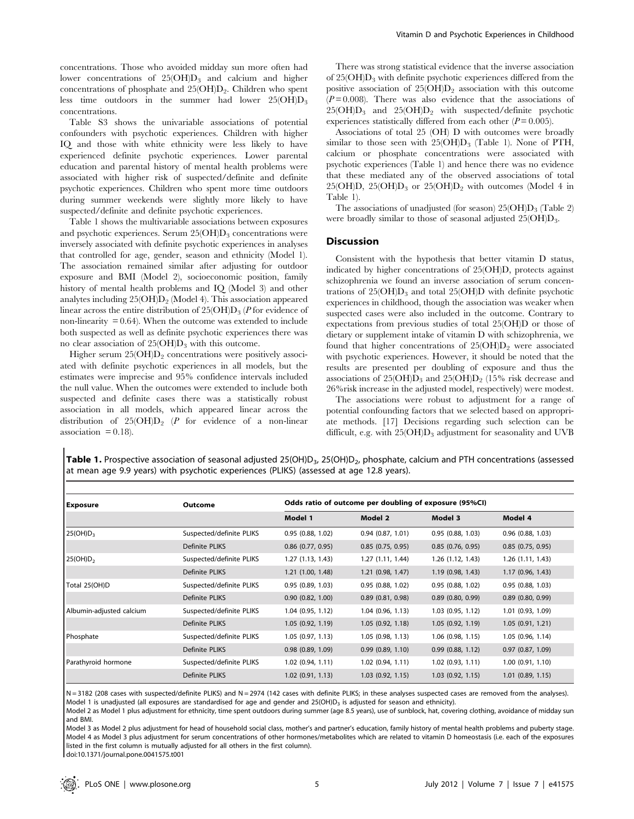concentrations. Those who avoided midday sun more often had lower concentrations of  $25(OH)D_3$  and calcium and higher concentrations of phosphate and  $25(OH)D<sub>2</sub>$ . Children who spent less time outdoors in the summer had lower  $25(OH)D_3$ concentrations.

Table S3 shows the univariable associations of potential confounders with psychotic experiences. Children with higher IQ and those with white ethnicity were less likely to have experienced definite psychotic experiences. Lower parental education and parental history of mental health problems were associated with higher risk of suspected/definite and definite psychotic experiences. Children who spent more time outdoors during summer weekends were slightly more likely to have suspected/definite and definite psychotic experiences.

Table 1 shows the multivariable associations between exposures and psychotic experiences. Serum  $25(OH)D_3$  concentrations were inversely associated with definite psychotic experiences in analyses that controlled for age, gender, season and ethnicity (Model 1). The association remained similar after adjusting for outdoor exposure and BMI (Model 2), socioeconomic position, family history of mental health problems and IQ (Model 3) and other analytes including  $25(OH)D<sub>2</sub>$  (Model 4). This association appeared linear across the entire distribution of  $25(OH)D_3$  (P for evidence of non-linearity  $= 0.64$ ). When the outcome was extended to include both suspected as well as definite psychotic experiences there was no clear association of  $25(OH)D_3$  with this outcome.

Higher serum  $25(OH)D<sub>2</sub>$  concentrations were positively associ-ated with definite psychotic experiences in all models, but the estimates were imprecise and 95% confidence intervals included the null value. When the outcomes were extended to include both suspected and definite cases there was a statistically robust association in all models, which appeared linear across the distribution of  $25(OH)D<sub>2</sub>$  (P for evidence of a non-linear association  $= 0.18$ .

There was strong statistical evidence that the inverse association of 25(OH)D3 with definite psychotic experiences differed from the positive association of  $25(OH)D<sub>2</sub>$  association with this outcome  $(P=0.008)$ . There was also evidence that the associations of  $25(OH)D_3$  and  $25(OH)D_2$  with suspected/definite psychotic experiences statistically differed from each other  $(P=0.005)$ .

Associations of total 25 (OH) D with outcomes were broadly similar to those seen with  $25(OH)D_3$  (Table 1). None of PTH, calcium or phosphate concentrations were associated with psychotic experiences (Table 1) and hence there was no evidence that these mediated any of the observed associations of total 25(OH)D, 25(OH)D<sub>3</sub> or 25(OH)D<sub>2</sub> with outcomes (Model 4 in Table 1).

The associations of unadjusted (for season)  $25(OH)D_3$  (Table 2) were broadly similar to those of seasonal adjusted  $25(OH)D_3$ .

## Discussion

Consistent with the hypothesis that better vitamin D status, indicated by higher concentrations of 25(OH)D, protects against schizophrenia we found an inverse association of serum concentrations of  $25(OH)D_3$  and total  $25(OH)D$  with definite psychotic experiences in childhood, though the association was weaker when suspected cases were also included in the outcome. Contrary to expectations from previous studies of total 25(OH)D or those of dietary or supplement intake of vitamin D with schizophrenia, we found that higher concentrations of  $25(OH)D<sub>2</sub>$  were associated with psychotic experiences. However, it should be noted that the results are presented per doubling of exposure and thus the associations of  $25(OH)D_3$  and  $25(OH)D_2$  (15% risk decrease and 26%risk increase in the adjusted model, respectively) were modest.

The associations were robust to adjustment for a range of potential confounding factors that we selected based on appropriate methods. [17] Decisions regarding such selection can be difficult, e.g. with  $25(OH)D_3$  adjustment for seasonality and UVB

Table 1. Prospective association of seasonal adjusted 25(OH)D<sub>3</sub>, 25(OH)D<sub>2</sub>, phosphate, calcium and PTH concentrations (assessed at mean age 9.9 years) with psychotic experiences (PLIKS) (assessed at age 12.8 years).

| <b>Exposure</b>          | Outcome                  | Odds ratio of outcome per doubling of exposure (95%CI) |                       |                       |                       |  |
|--------------------------|--------------------------|--------------------------------------------------------|-----------------------|-----------------------|-----------------------|--|
|                          |                          | Model 1                                                | Model 2               | Model 3               | Model 4               |  |
| 25(OH)D <sub>3</sub>     | Suspected/definite PLIKS | 0.95(0.88, 1.02)                                       | 0.94(0.87, 1.01)      | 0.95(0.88, 1.03)      | $0.96$ $(0.88, 1.03)$ |  |
|                          | Definite PLIKS           | $0.86$ $(0.77, 0.95)$                                  | 0.85(0.75, 0.95)      | 0.85(0.76, 0.95)      | 0.85(0.75, 0.95)      |  |
| 25(OH)D <sub>2</sub>     | Suspected/definite PLIKS | 1.27 (1.13, 1.43)                                      | 1.27(1.11, 1.44)      | 1.26 (1.12, 1.43)     | 1.26 (1.11, 1.43)     |  |
|                          | Definite PLIKS           | 1.21 (1.00, 1.48)                                      | 1.21(0.98, 1.47)      | 1.19(0.98, 1.43)      | 1.17(0.96, 1.43)      |  |
| Total 25(OH)D            | Suspected/definite PLIKS | 0.95(0.89, 1.03)                                       | 0.95(0.88, 1.02)      | 0.95(0.88, 1.02)      | 0.95(0.88, 1.03)      |  |
|                          | Definite PLIKS           | 0.90(0.82, 1.00)                                       | $0.89$ $(0.81, 0.98)$ | $0.89$ (0.80, 0.99)   | $0.89$ $(0.80, 0.99)$ |  |
| Albumin-adjusted calcium | Suspected/definite PLIKS | 1.04 (0.95, 1.12)                                      | 1.04(0.96, 1.13)      | $1.03$ (0.95, 1.12)   | 1.01 (0.93, 1.09)     |  |
|                          | Definite PLIKS           | 1.05(0.92, 1.19)                                       | 1.05(0.92, 1.18)      | 1.05(0.92, 1.19)      | 1.05(0.91, 1.21)      |  |
| Phosphate                | Suspected/definite PLIKS | 1.05(0.97, 1.13)                                       | 1.05(0.98, 1.13)      | $1.06$ (0.98, 1.15)   | 1.05 (0.96, 1.14)     |  |
|                          | Definite PLIKS           | $0.98$ $(0.89, 1.09)$                                  | 0.99(0.89, 1.10)      | 0.99(0.88, 1.12)      | 0.97(0.87, 1.09)      |  |
| Parathyroid hormone      | Suspected/definite PLIKS | 1.02(0.94, 1.11)                                       | 1.02(0.94, 1.11)      | 1.02(0.93, 1.11)      | $1.00$ $(0.91, 1.10)$ |  |
|                          | Definite PLIKS           | $1.02$ (0.91, 1.13)                                    | 1.03(0.92, 1.15)      | $1.03$ $(0.92, 1.15)$ | $1.01$ $(0.89, 1.15)$ |  |

N = 3182 (208 cases with suspected/definite PLIKS) and N = 2974 (142 cases with definite PLIKS; in these analyses suspected cases are removed from the analyses). Model 1 is unadjusted (all exposures are standardised for age and gender and 25(OH)D<sub>2</sub> is adjusted for season and ethnicity).

Model 2 as Model 1 plus adjustment for ethnicity, time spent outdoors during summer (age 8.5 years), use of sunblock, hat, covering clothing, avoidance of midday sun and BMI.

Model 3 as Model 2 plus adjustment for head of household social class, mother's and partner's education, family history of mental health problems and puberty stage. Model 4 as Model 3 plus adjustment for serum concentrations of other hormones/metabolites which are related to vitamin D homeostasis (i.e. each of the exposures listed in the first column is mutually adjusted for all others in the first column).

doi:10.1371/journal.pone.0041575.t001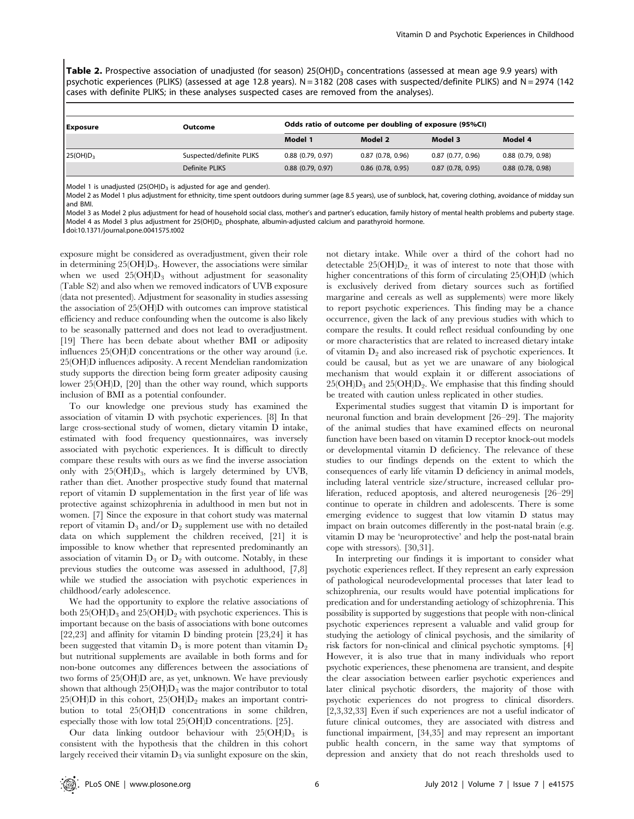Table 2. Prospective association of unadjusted (for season) 25(OH)D<sub>3</sub> concentrations (assessed at mean age 9.9 years) with psychotic experiences (PLIKS) (assessed at age 12.8 years). N = 3182 (208 cases with suspected/definite PLIKS) and N = 2974 (142 cases with definite PLIKS; in these analyses suspected cases are removed from the analyses).

| <b>Exposure</b>      | Outcome                  | Odds ratio of outcome per doubling of exposure (95%CI) |                     |                     |                       |  |
|----------------------|--------------------------|--------------------------------------------------------|---------------------|---------------------|-----------------------|--|
|                      |                          | Model 1                                                | Model 2             | Model 3             | Model 4               |  |
| 25(OH)D <sub>3</sub> | Suspected/definite PLIKS | 0.88(0.79, 0.97)                                       | $0.87$ (0.78, 0.96) | $0.87$ (0.77, 0.96) | $0.88$ $(0.79, 0.98)$ |  |
|                      | Definite PLIKS           | $0.88$ $(0.79, 0.97)$                                  | $0.86$ (0.78, 0.95) | $0.87$ (0.78, 0.95) | $0.88$ $(0.78, 0.98)$ |  |

Model 1 is unadjusted  $(25(OH)D<sub>3</sub>$  is adjusted for age and gender).

Model 2 as Model 1 plus adjustment for ethnicity, time spent outdoors during summer (age 8.5 years), use of sunblock, hat, covering clothing, avoidance of midday sun and BMI.

Model 3 as Model 2 plus adjustment for head of household social class, mother's and partner's education, family history of mental health problems and puberty stage. Model 4 as Model 3 plus adjustment for 25(OH)D<sub>2</sub>, phosphate, albumin-adjusted calcium and parathyroid hormone.

doi:10.1371/journal.pone.0041575.t002

exposure might be considered as overadjustment, given their role in determining  $25(OH)D_3$ . However, the associations were similar when we used  $25(OH)D_3$  without adjustment for seasonality (Table S2) and also when we removed indicators of UVB exposure (data not presented). Adjustment for seasonality in studies assessing the association of 25(OH)D with outcomes can improve statistical efficiency and reduce confounding when the outcome is also likely to be seasonally patterned and does not lead to overadjustment. [19] There has been debate about whether BMI or adiposity influences 25(OH)D concentrations or the other way around (i.e. 25(OH)D influences adiposity. A recent Mendelian randomization study supports the direction being form greater adiposity causing lower 25(OH)D, [20] than the other way round, which supports inclusion of BMI as a potential confounder.

To our knowledge one previous study has examined the association of vitamin D with psychotic experiences. [8] In that large cross-sectional study of women, dietary vitamin D intake, estimated with food frequency questionnaires, was inversely associated with psychotic experiences. It is difficult to directly compare these results with ours as we find the inverse association only with  $25(OH)D_3$ , which is largely determined by UVB, rather than diet. Another prospective study found that maternal report of vitamin D supplementation in the first year of life was protective against schizophrenia in adulthood in men but not in women. [7] Since the exposure in that cohort study was maternal report of vitamin  $D_3$  and/or  $D_2$  supplement use with no detailed data on which supplement the children received, [21] it is impossible to know whether that represented predominantly an association of vitamin  $D_3$  or  $D_2$  with outcome. Notably, in these previous studies the outcome was assessed in adulthood, [7,8] while we studied the association with psychotic experiences in childhood/early adolescence.

We had the opportunity to explore the relative associations of both  $25(OH)D_3$  and  $25(OH)D_2$  with psychotic experiences. This is important because on the basis of associations with bone outcomes [22,23] and affinity for vitamin D binding protein [23,24] it has been suggested that vitamin  $D_3$  is more potent than vitamin  $D_2$ but nutritional supplements are available in both forms and for non-bone outcomes any differences between the associations of two forms of 25(OH)D are, as yet, unknown. We have previously shown that although  $25(OH)D_3$  was the major contributor to total 25(OH)D in this cohort,  $25(OH)D_2$  makes an important contribution to total 25(OH)D concentrations in some children, especially those with low total 25(OH)D concentrations. [25].

Our data linking outdoor behaviour with  $25(OH)D_3$  is consistent with the hypothesis that the children in this cohort largely received their vitamin  $D_3$  via sunlight exposure on the skin, not dietary intake. While over a third of the cohort had no detectable  $25(OH)D<sub>2</sub>$ , it was of interest to note that those with higher concentrations of this form of circulating 25(OH)D (which is exclusively derived from dietary sources such as fortified margarine and cereals as well as supplements) were more likely to report psychotic experiences. This finding may be a chance occurrence, given the lack of any previous studies with which to compare the results. It could reflect residual confounding by one or more characteristics that are related to increased dietary intake of vitamin  $D_2$  and also increased risk of psychotic experiences. It could be causal, but as yet we are unaware of any biological mechanism that would explain it or different associations of  $25(OH)D_3$  and  $25(OH)D_2$ . We emphasise that this finding should be treated with caution unless replicated in other studies.

Experimental studies suggest that vitamin D is important for neuronal function and brain development [26–29]. The majority of the animal studies that have examined effects on neuronal function have been based on vitamin D receptor knock-out models or developmental vitamin D deficiency. The relevance of these studies to our findings depends on the extent to which the consequences of early life vitamin D deficiency in animal models, including lateral ventricle size/structure, increased cellular proliferation, reduced apoptosis, and altered neurogenesis [26–29] continue to operate in children and adolescents. There is some emerging evidence to suggest that low vitamin D status may impact on brain outcomes differently in the post-natal brain (e.g. vitamin D may be 'neuroprotective' and help the post-natal brain cope with stressors). [30,31].

In interpreting our findings it is important to consider what psychotic experiences reflect. If they represent an early expression of pathological neurodevelopmental processes that later lead to schizophrenia, our results would have potential implications for predication and for understanding aetiology of schizophrenia. This possibility is supported by suggestions that people with non-clinical psychotic experiences represent a valuable and valid group for studying the aetiology of clinical psychosis, and the similarity of risk factors for non-clinical and clinical psychotic symptoms. [4] However, it is also true that in many individuals who report psychotic experiences, these phenomena are transient, and despite the clear association between earlier psychotic experiences and later clinical psychotic disorders, the majority of those with psychotic experiences do not progress to clinical disorders. [2,3,32,33] Even if such experiences are not a useful indicator of future clinical outcomes, they are associated with distress and functional impairment, [34,35] and may represent an important public health concern, in the same way that symptoms of depression and anxiety that do not reach thresholds used to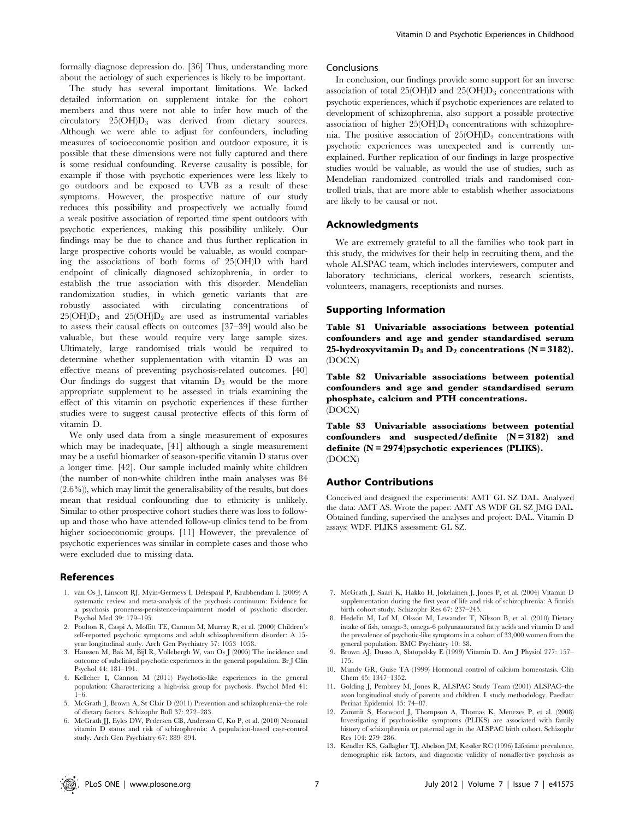formally diagnose depression do. [36] Thus, understanding more about the aetiology of such experiences is likely to be important.

The study has several important limitations. We lacked detailed information on supplement intake for the cohort members and thus were not able to infer how much of the circulatory 25(OH)D3 was derived from dietary sources. Although we were able to adjust for confounders, including measures of socioeconomic position and outdoor exposure, it is possible that these dimensions were not fully captured and there is some residual confounding. Reverse causality is possible, for example if those with psychotic experiences were less likely to go outdoors and be exposed to UVB as a result of these symptoms. However, the prospective nature of our study reduces this possibility and prospectively we actually found a weak positive association of reported time spent outdoors with psychotic experiences, making this possibility unlikely. Our findings may be due to chance and thus further replication in large prospective cohorts would be valuable, as would comparing the associations of both forms of 25(OH)D with hard endpoint of clinically diagnosed schizophrenia, in order to establish the true association with this disorder. Mendelian randomization studies, in which genetic variants that are robustly associated with circulating concentrations of  $25(OH)D_3$  and  $25(OH)D_2$  are used as instrumental variables to assess their causal effects on outcomes [37–39] would also be valuable, but these would require very large sample sizes. Ultimately, large randomised trials would be required to determine whether supplementation with vitamin D was an effective means of preventing psychosis-related outcomes. [40] Our findings do suggest that vitamin  $D_3$  would be the more appropriate supplement to be assessed in trials examining the effect of this vitamin on psychotic experiences if these further studies were to suggest causal protective effects of this form of vitamin D.

We only used data from a single measurement of exposures which may be inadequate, [41] although a single measurement may be a useful biomarker of season-specific vitamin D status over a longer time. [42]. Our sample included mainly white children (the number of non-white children inthe main analyses was 84 (2.6%)), which may limit the generalisability of the results, but does mean that residual confounding due to ethnicity is unlikely. Similar to other prospective cohort studies there was loss to followup and those who have attended follow-up clinics tend to be from higher socioeconomic groups. [11] However, the prevalence of psychotic experiences was similar in complete cases and those who were excluded due to missing data.

#### References

- 1. van Os J, Linscott RJ, Myin-Germeys I, Delespaul P, Krabbendam L (2009) A systematic review and meta-analysis of the psychosis continuum: Evidence for a psychosis proneness-persistence-impairment model of psychotic disorder. Psychol Med 39: 179–195.
- 2. Poulton R, Caspi A, Moffitt TE, Cannon M, Murray R, et al. (2000) Children's self-reported psychotic symptoms and adult schizophreniform disorder: A 15 year longitudinal study. Arch Gen Psychiatry 57: 1053–1058.
- 3. Hanssen M, Bak M, Bijl R, Vollebergh W, van Os J (2005) The incidence and outcome of subclinical psychotic experiences in the general population. Br J Clin Psychol 44: 181–191.
- 4. Kelleher I, Cannon M (2011) Psychotic-like experiences in the general population: Characterizing a high-risk group for psychosis. Psychol Med 41: 1–6.
- 5. McGrath J, Brown A, St Clair D (2011) Prevention and schizophrenia–the role of dietary factors. Schizophr Bull 37: 272–283.
- 6. McGrath JJ, Eyles DW, Pedersen CB, Anderson C, Ko P, et al. (2010) Neonatal vitamin D status and risk of schizophrenia: A population-based case-control study. Arch Gen Psychiatry 67: 889–894.

## Conclusions

In conclusion, our findings provide some support for an inverse association of total 25(OH)D and 25(OH)D<sub>3</sub> concentrations with psychotic experiences, which if psychotic experiences are related to development of schizophrenia, also support a possible protective association of higher  $25(OH)D_3$  concentrations with schizophrenia. The positive association of  $25(OH)D<sub>2</sub>$  concentrations with psychotic experiences was unexpected and is currently unexplained. Further replication of our findings in large prospective studies would be valuable, as would the use of studies, such as Mendelian randomized controlled trials and randomised controlled trials, that are more able to establish whether associations are likely to be causal or not.

## Acknowledgments

We are extremely grateful to all the families who took part in this study, the midwives for their help in recruiting them, and the whole ALSPAC team, which includes interviewers, computer and laboratory technicians, clerical workers, research scientists, volunteers, managers, receptionists and nurses.

## Supporting Information

Table S1 Univariable associations between potential confounders and age and gender standardised serum 25-hydroxyvitamin  $D_3$  and  $D_2$  concentrations (N = 3182). (DOCX)

Table S2 Univariable associations between potential confounders and age and gender standardised serum phosphate, calcium and PTH concentrations. (DOCX)

Table S3 Univariable associations between potential confounders and suspected/definite  $(N = 3182)$  and definite (N = 2974)psychotic experiences (PLIKS). (DOCX)

#### Author Contributions

Conceived and designed the experiments: AMT GL SZ DAL. Analyzed the data: AMT AS. Wrote the paper: AMT AS WDF GL SZ JMG DAL. Obtained funding, supervised the analyses and project: DAL. Vitamin D assays: WDF. PLIKS assessment: GL SZ.

- 7. McGrath J, Saari K, Hakko H, Jokelainen J, Jones P, et al. (2004) Vitamin D supplementation during the first year of life and risk of schizophrenia: A finnish birth cohort study. Schizophr Res 67: 237–245.
- 8. Hedelin M, Lof M, Olsson M, Lewander T, Nilsson B, et al. (2010) Dietary intake of fish, omega-3, omega-6 polyunsaturated fatty acids and vitamin D and the prevalence of psychotic-like symptoms in a cohort of 33,000 women from the general population. BMC Psychiatry 10: 38.
- 9. Brown AJ, Dusso A, Slatopolsky E (1999) Vitamin D. Am J Physiol 277: 157– 175.
- 10. Mundy GR, Guise TA (1999) Hormonal control of calcium homeostasis. Clin Chem 45: 1347–1352.
- 11. Golding J, Pembrey M, Jones R, ALSPAC Study Team (2001) ALSPAC–the avon longitudinal study of parents and children. I. study methodology. Paediatr Perinat Epidemiol 15: 74–87.
- 12. Zammit S, Horwood J, Thompson A, Thomas K, Menezes P, et al. (2008) Investigating if psychosis-like symptoms (PLIKS) are associated with family history of schizophrenia or paternal age in the ALSPAC birth cohort. Schizophr Res 104: 279–286.
- 13. Kendler KS, Gallagher TJ, Abelson JM, Kessler RC (1996) Lifetime prevalence, demographic risk factors, and diagnostic validity of nonaffective psychosis as